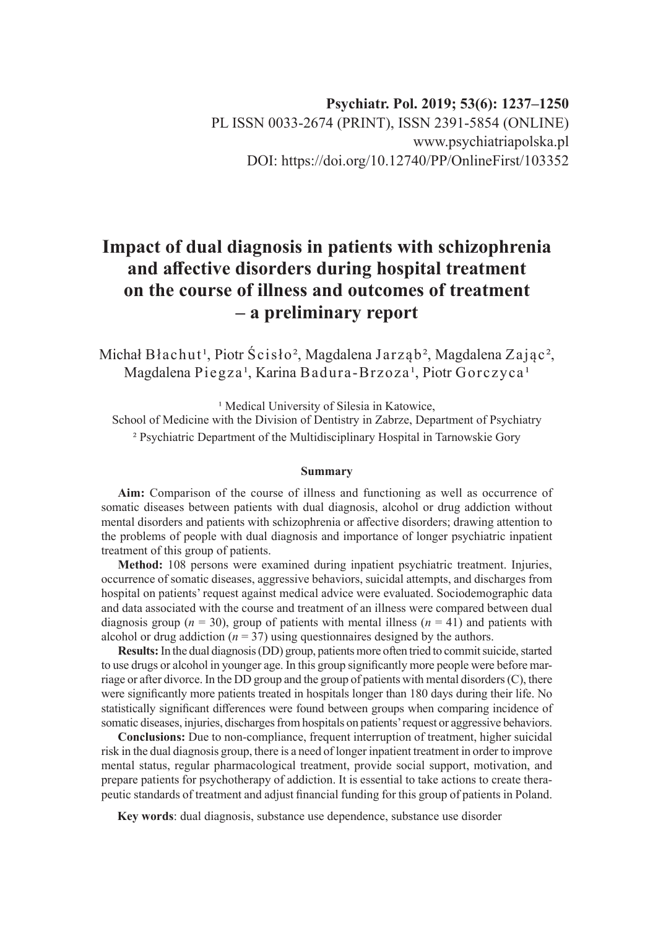# **Impact of dual diagnosis in patients with schizophrenia and affective disorders during hospital treatment on the course of illness and outcomes of treatment – a preliminary report**

Michał Błachut<sup>1</sup>, Piotr Ścisło<sup>2</sup>, Magdalena Jarząb<sup>2</sup>, Magdalena Zając<sup>2</sup>, Magdalena Piegza<sup>1</sup>, Karina Badura-Brzoza<sup>1</sup>, Piotr Gorczyca<sup>1</sup>

<sup>1</sup> Medical University of Silesia in Katowice, School of Medicine with the Division of Dentistry in Zabrze, Department of Psychiatry ² Psychiatric Department of the Multidisciplinary Hospital in Tarnowskie Gory

#### **Summary**

**Aim:** Comparison of the course of illness and functioning as well as occurrence of somatic diseases between patients with dual diagnosis, alcohol or drug addiction without mental disorders and patients with schizophrenia or affective disorders; drawing attention to the problems of people with dual diagnosis and importance of longer psychiatric inpatient treatment of this group of patients.

**Method:** 108 persons were examined during inpatient psychiatric treatment. Injuries, occurrence of somatic diseases, aggressive behaviors, suicidal attempts, and discharges from hospital on patients' request against medical advice were evaluated. Sociodemographic data and data associated with the course and treatment of an illness were compared between dual diagnosis group ( $n = 30$ ), group of patients with mental illness ( $n = 41$ ) and patients with alcohol or drug addiction  $(n = 37)$  using questionnaires designed by the authors.

**Results:** In the dual diagnosis (DD) group, patients more often tried to commit suicide, started to use drugs or alcohol in younger age. In this group significantly more people were before marriage or after divorce. In the DD group and the group of patients with mental disorders (C), there were significantly more patients treated in hospitals longer than 180 days during their life. No statistically significant differences were found between groups when comparing incidence of somatic diseases, injuries, discharges from hospitals on patients' request or aggressive behaviors.

**Conclusions:** Due to non-compliance, frequent interruption of treatment, higher suicidal risk in the dual diagnosis group, there is a need of longer inpatient treatment in order to improve mental status, regular pharmacological treatment, provide social support, motivation, and prepare patients for psychotherapy of addiction. It is essential to take actions to create therapeutic standards of treatment and adjust financial funding for this group of patients in Poland.

**Key words**: dual diagnosis, substance use dependence, substance use disorder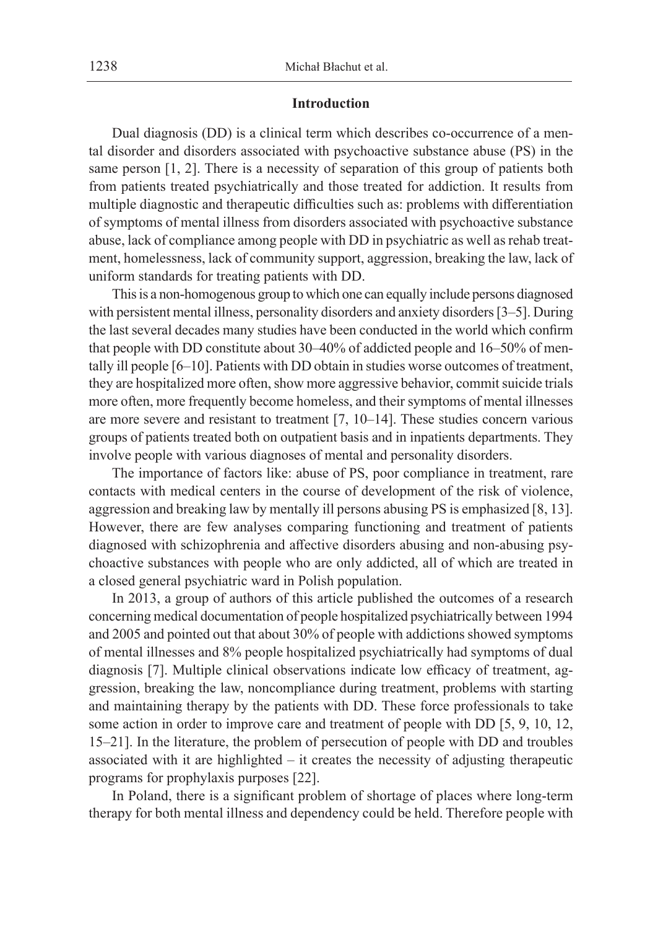#### **Introduction**

Dual diagnosis (DD) is a clinical term which describes co-occurrence of a mental disorder and disorders associated with psychoactive substance abuse (PS) in the same person [1, 2]. There is a necessity of separation of this group of patients both from patients treated psychiatrically and those treated for addiction. It results from multiple diagnostic and therapeutic difficulties such as: problems with differentiation of symptoms of mental illness from disorders associated with psychoactive substance abuse, lack of compliance among people with DD in psychiatric as well as rehab treatment, homelessness, lack of community support, aggression, breaking the law, lack of uniform standards for treating patients with DD.

This is a non-homogenous group to which one can equally include persons diagnosed with persistent mental illness, personality disorders and anxiety disorders [3–5]. During the last several decades many studies have been conducted in the world which confirm that people with DD constitute about 30–40% of addicted people and 16–50% of mentally ill people [6–10]. Patients with DD obtain in studies worse outcomes of treatment, they are hospitalized more often, show more aggressive behavior, commit suicide trials more often, more frequently become homeless, and their symptoms of mental illnesses are more severe and resistant to treatment [7, 10–14]. These studies concern various groups of patients treated both on outpatient basis and in inpatients departments. They involve people with various diagnoses of mental and personality disorders.

The importance of factors like: abuse of PS, poor compliance in treatment, rare contacts with medical centers in the course of development of the risk of violence, aggression and breaking law by mentally ill persons abusing PS is emphasized [8, 13]. However, there are few analyses comparing functioning and treatment of patients diagnosed with schizophrenia and affective disorders abusing and non-abusing psychoactive substances with people who are only addicted, all of which are treated in a closed general psychiatric ward in Polish population.

In 2013, a group of authors of this article published the outcomes of a research concerning medical documentation of people hospitalized psychiatrically between 1994 and 2005 and pointed out that about 30% of people with addictions showed symptoms of mental illnesses and 8% people hospitalized psychiatrically had symptoms of dual diagnosis [7]. Multiple clinical observations indicate low efficacy of treatment, aggression, breaking the law, noncompliance during treatment, problems with starting and maintaining therapy by the patients with DD. These force professionals to take some action in order to improve care and treatment of people with DD [5, 9, 10, 12, 15–21]. In the literature, the problem of persecution of people with DD and troubles associated with it are highlighted – it creates the necessity of adjusting therapeutic programs for prophylaxis purposes [22].

In Poland, there is a significant problem of shortage of places where long-term therapy for both mental illness and dependency could be held. Therefore people with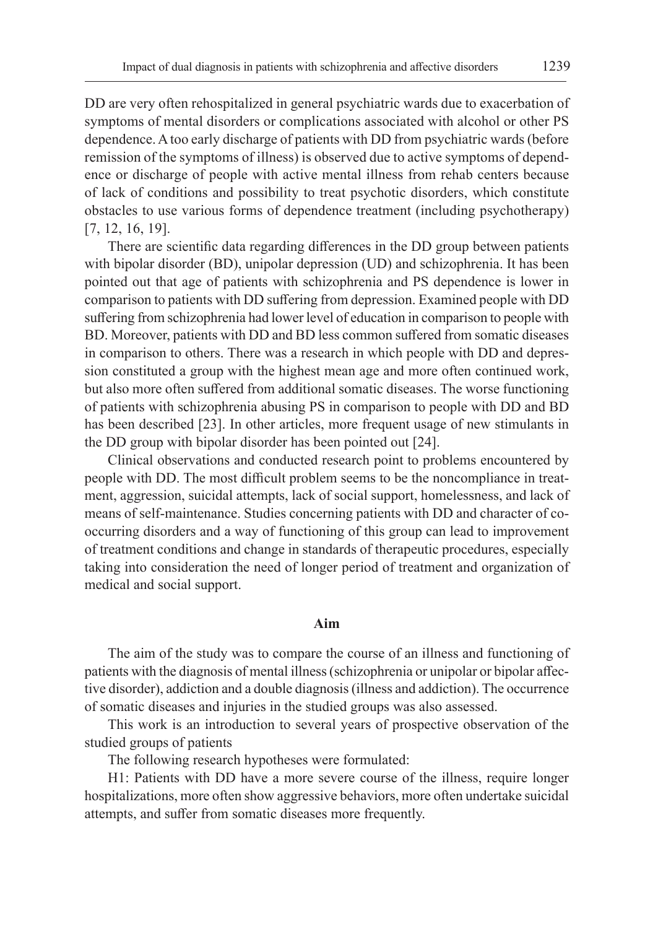DD are very often rehospitalized in general psychiatric wards due to exacerbation of symptoms of mental disorders or complications associated with alcohol or other PS dependence. A too early discharge of patients with DD from psychiatric wards (before remission of the symptoms of illness) is observed due to active symptoms of dependence or discharge of people with active mental illness from rehab centers because of lack of conditions and possibility to treat psychotic disorders, which constitute obstacles to use various forms of dependence treatment (including psychotherapy) [7, 12, 16, 19].

There are scientific data regarding differences in the DD group between patients with bipolar disorder (BD), unipolar depression (UD) and schizophrenia. It has been pointed out that age of patients with schizophrenia and PS dependence is lower in comparison to patients with DD suffering from depression. Examined people with DD suffering from schizophrenia had lower level of education in comparison to people with BD. Moreover, patients with DD and BD less common suffered from somatic diseases in comparison to others. There was a research in which people with DD and depression constituted a group with the highest mean age and more often continued work, but also more often suffered from additional somatic diseases. The worse functioning of patients with schizophrenia abusing PS in comparison to people with DD and BD has been described [23]. In other articles, more frequent usage of new stimulants in the DD group with bipolar disorder has been pointed out [24].

Clinical observations and conducted research point to problems encountered by people with DD. The most difficult problem seems to be the noncompliance in treatment, aggression, suicidal attempts, lack of social support, homelessness, and lack of means of self-maintenance. Studies concerning patients with DD and character of cooccurring disorders and a way of functioning of this group can lead to improvement of treatment conditions and change in standards of therapeutic procedures, especially taking into consideration the need of longer period of treatment and organization of medical and social support.

#### **Aim**

The aim of the study was to compare the course of an illness and functioning of patients with the diagnosis of mental illness (schizophrenia or unipolar or bipolar affective disorder), addiction and a double diagnosis (illness and addiction). The occurrence of somatic diseases and injuries in the studied groups was also assessed.

This work is an introduction to several years of prospective observation of the studied groups of patients

The following research hypotheses were formulated:

H1: Patients with DD have a more severe course of the illness, require longer hospitalizations, more often show aggressive behaviors, more often undertake suicidal attempts, and suffer from somatic diseases more frequently.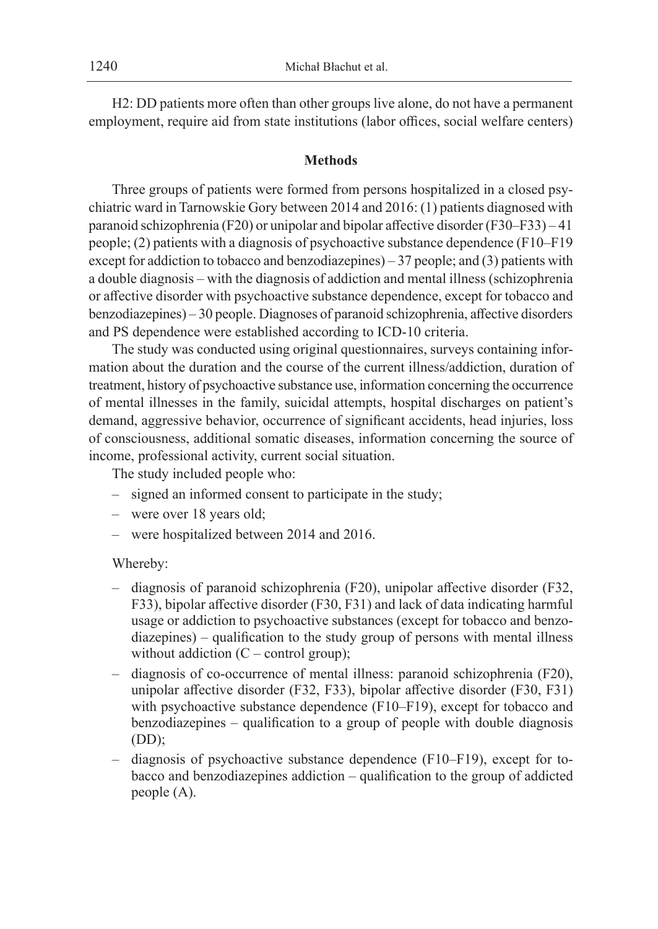H2: DD patients more often than other groups live alone, do not have a permanent employment, require aid from state institutions (labor offices, social welfare centers)

### **Methods**

Three groups of patients were formed from persons hospitalized in a closed psychiatric ward in Tarnowskie Gory between 2014 and 2016: (1) patients diagnosed with paranoid schizophrenia (F20) or unipolar and bipolar affective disorder (F30–F33) – 41 people; (2) patients with a diagnosis of psychoactive substance dependence (F10–F19 except for addiction to tobacco and benzodiazepines) – 37 people; and (3) patients with a double diagnosis – with the diagnosis of addiction and mental illness (schizophrenia or affective disorder with psychoactive substance dependence, except for tobacco and benzodiazepines) – 30 people. Diagnoses of paranoid schizophrenia, affective disorders and PS dependence were established according to ICD-10 criteria.

The study was conducted using original questionnaires, surveys containing information about the duration and the course of the current illness/addiction, duration of treatment, history of psychoactive substance use, information concerning the occurrence of mental illnesses in the family, suicidal attempts, hospital discharges on patient's demand, aggressive behavior, occurrence of significant accidents, head injuries, loss of consciousness, additional somatic diseases, information concerning the source of income, professional activity, current social situation.

The study included people who:

- signed an informed consent to participate in the study;
- were over 18 years old;
- were hospitalized between 2014 and 2016.

#### Whereby:

- diagnosis of paranoid schizophrenia (F20), unipolar affective disorder (F32, F33), bipolar affective disorder (F30, F31) and lack of data indicating harmful usage or addiction to psychoactive substances (except for tobacco and benzodiazepines) – qualification to the study group of persons with mental illness without addiction  $(C - control group)$ ;
- diagnosis of co-occurrence of mental illness: paranoid schizophrenia (F20), unipolar affective disorder (F32, F33), bipolar affective disorder (F30, F31) with psychoactive substance dependence (F10–F19), except for tobacco and benzodiazepines – qualification to a group of people with double diagnosis  $(DD)$ ;
- diagnosis of psychoactive substance dependence (F10–F19), except for tobacco and benzodiazepines addiction – qualification to the group of addicted people (A).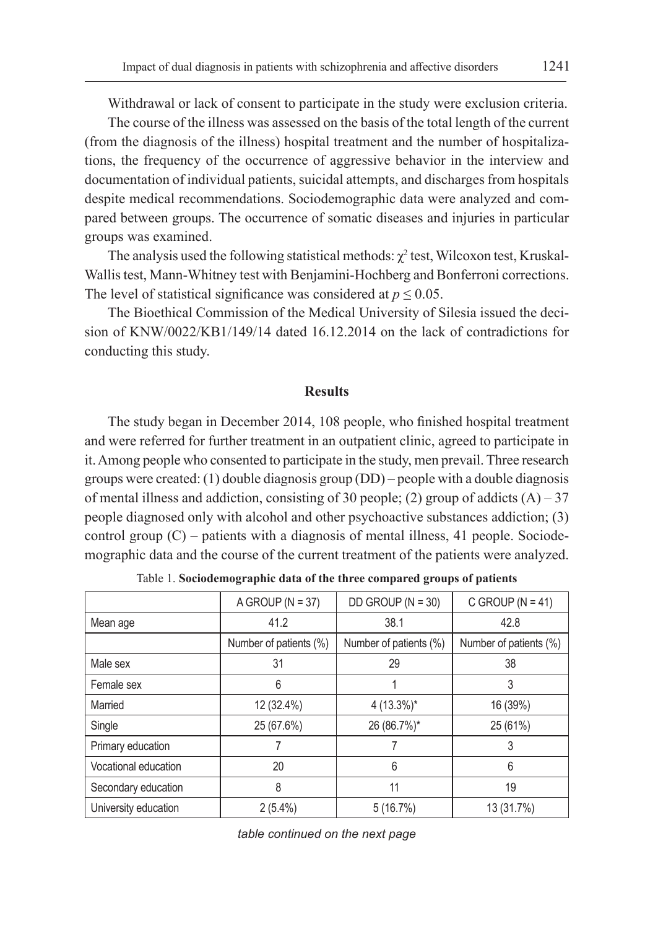Withdrawal or lack of consent to participate in the study were exclusion criteria.

The course of the illness was assessed on the basis of the total length of the current (from the diagnosis of the illness) hospital treatment and the number of hospitalizations, the frequency of the occurrence of aggressive behavior in the interview and documentation of individual patients, suicidal attempts, and discharges from hospitals despite medical recommendations. Sociodemographic data were analyzed and compared between groups. The occurrence of somatic diseases and injuries in particular groups was examined.

The analysis used the following statistical methods:  $\chi^2$  test, Wilcoxon test, Kruskal-Wallis test, Mann-Whitney test with Benjamini-Hochberg and Bonferroni corrections. The level of statistical significance was considered at  $p \leq 0.05$ .

The Bioethical Commission of the Medical University of Silesia issued the decision of KNW/0022/KB1/149/14 dated 16.12.2014 on the lack of contradictions for conducting this study.

### **Results**

The study began in December 2014, 108 people, who finished hospital treatment and were referred for further treatment in an outpatient clinic, agreed to participate in it. Among people who consented to participate in the study, men prevail. Three research groups were created: (1) double diagnosis group (DD) – people with a double diagnosis of mental illness and addiction, consisting of 30 people; (2) group of addicts  $(A)$  – 37 people diagnosed only with alcohol and other psychoactive substances addiction; (3) control group  $(C)$  – patients with a diagnosis of mental illness, 41 people. Sociodemographic data and the course of the current treatment of the patients were analyzed.

|                      | A GROUP ( $N = 37$ )   | DD GROUP ( $N = 30$ )  | C GROUP ( $N = 41$ )   |
|----------------------|------------------------|------------------------|------------------------|
| Mean age             | 41.2                   | 38.1                   | 42.8                   |
|                      | Number of patients (%) | Number of patients (%) | Number of patients (%) |
| Male sex             | 31                     | 29                     | 38                     |
| Female sex           | 6                      |                        | 3                      |
| Married              | 12 (32.4%)             | $4(13.3\%)^*$          | 16 (39%)               |
| Single               | 25 (67.6%)             | 26 (86.7%)*            | 25 (61%)               |
| Primary education    |                        |                        | 3                      |
| Vocational education | 20                     | 6                      | 6                      |
| Secondary education  | 8                      | 11                     | 19                     |
| University education | $2(5.4\%)$             | 5(16.7%)               | 13 (31.7%)             |

Table 1. **Sociodemographic data of the three compared groups of patients**

*table continued on the next page*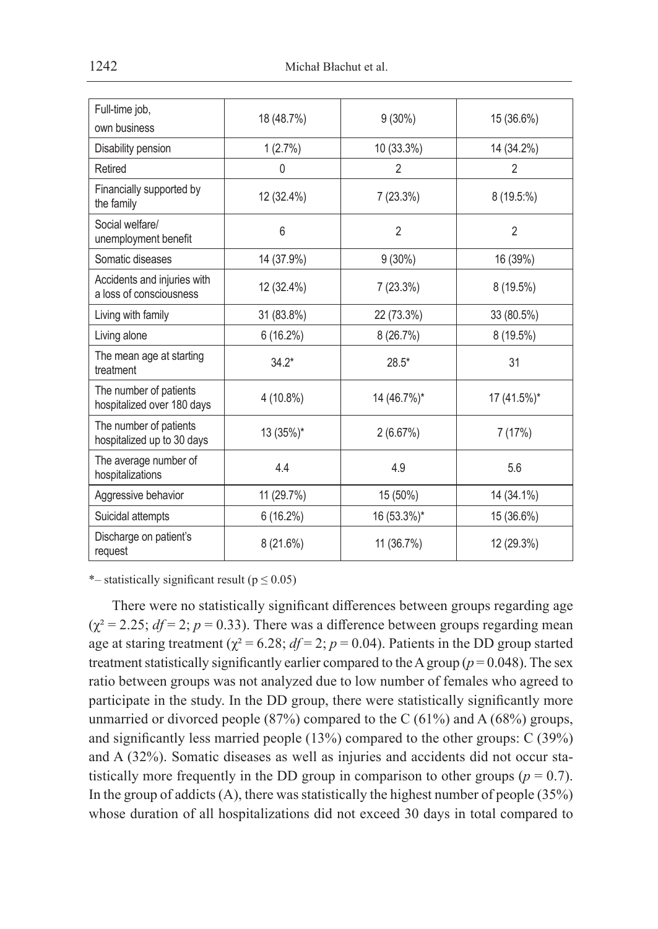| Full-time job,                                         | 18 (48.7%)  | $9(30\%)$      | 15 (36.6%)     |  |
|--------------------------------------------------------|-------------|----------------|----------------|--|
| own business                                           |             |                |                |  |
| Disability pension                                     | 1(2.7%)     | 10 (33.3%)     | 14 (34.2%)     |  |
| Retired                                                | 0           | $\overline{2}$ | $\overline{2}$ |  |
| Financially supported by<br>the family                 | 12 (32.4%)  | 7(23.3%)       | 8 (19.5:%)     |  |
| Social welfare/<br>unemployment benefit                | 6           | $\overline{2}$ | $\overline{2}$ |  |
| Somatic diseases                                       | 14 (37.9%)  | $9(30\%)$      | 16 (39%)       |  |
| Accidents and injuries with<br>a loss of consciousness | 12 (32.4%)  | 7(23.3%)       | 8(19.5%)       |  |
| Living with family                                     | 31 (83.8%)  | 22 (73.3%)     | 33 (80.5%)     |  |
| Living alone                                           | $6(16.2\%)$ | 8 (26.7%)      | 8 (19.5%)      |  |
| The mean age at starting<br>treatment                  | $34.2*$     | $28.5*$        | 31             |  |
| The number of patients<br>hospitalized over 180 days   | $4(10.8\%)$ | 14 (46.7%)*    | 17 (41.5%)*    |  |
| The number of patients<br>hospitalized up to 30 days   | 13 (35%)*   | 2(6.67%)       | 7(17%)         |  |
| The average number of<br>hospitalizations              | 44          | 4.9            | 5.6            |  |
| Aggressive behavior                                    | 11(29.7%)   | 15 (50%)       | 14 (34.1%)     |  |
| Suicidal attempts                                      | 6(16.2%)    | 16 (53.3%)*    | 15 (36.6%)     |  |
| Discharge on patient's<br>request                      | 8(21.6%)    | 11 (36.7%)     | 12 (29.3%)     |  |

\*– statistically significant result ( $p \le 0.05$ )

There were no statistically significant differences between groups regarding age  $(\chi^2 = 2.25; df = 2; p = 0.33)$ . There was a difference between groups regarding mean age at staring treatment ( $\chi^2 = 6.28$ ;  $df = 2$ ;  $p = 0.04$ ). Patients in the DD group started treatment statistically significantly earlier compared to the A group ( $p = 0.048$ ). The sex ratio between groups was not analyzed due to low number of females who agreed to participate in the study. In the DD group, there were statistically significantly more unmarried or divorced people  $(87%)$  compared to the C  $(61%)$  and A  $(68%)$  groups, and significantly less married people (13%) compared to the other groups: C (39%) and A (32%). Somatic diseases as well as injuries and accidents did not occur statistically more frequently in the DD group in comparison to other groups ( $p = 0.7$ ). In the group of addicts  $(A)$ , there was statistically the highest number of people  $(35%)$ whose duration of all hospitalizations did not exceed 30 days in total compared to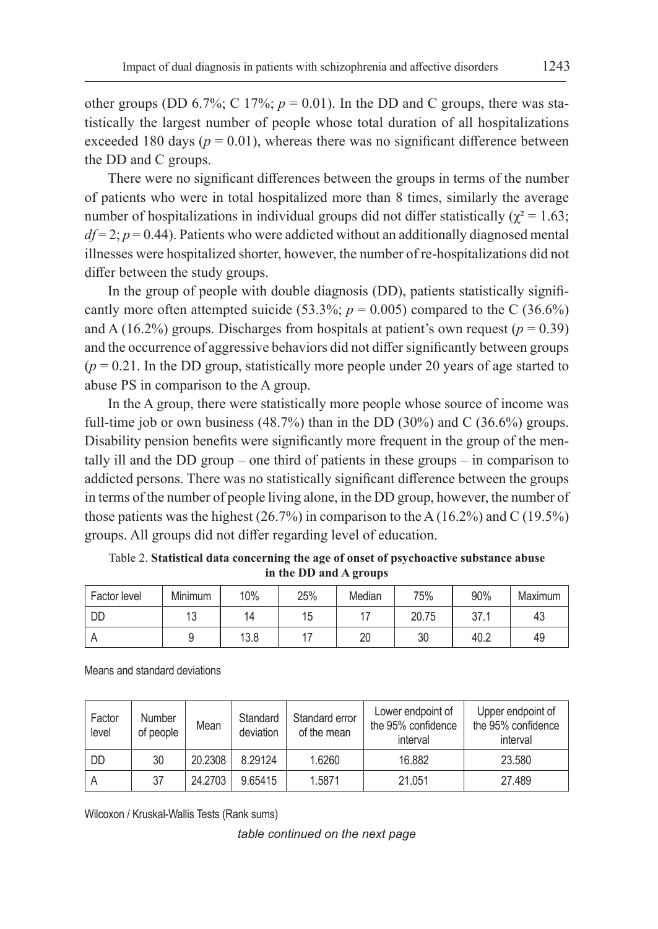other groups (DD 6.7%; C 17%;  $p = 0.01$ ). In the DD and C groups, there was statistically the largest number of people whose total duration of all hospitalizations exceeded 180 days ( $p = 0.01$ ), whereas there was no significant difference between the DD and C groups.

There were no significant differences between the groups in terms of the number of patients who were in total hospitalized more than 8 times, similarly the average number of hospitalizations in individual groups did not differ statistically ( $\gamma^2 = 1.63$ ;  $df = 2$ ;  $p = 0.44$ ). Patients who were addicted without an additionally diagnosed mental illnesses were hospitalized shorter, however, the number of re-hospitalizations did not differ between the study groups.

In the group of people with double diagnosis (DD), patients statistically significantly more often attempted suicide (53.3%;  $p = 0.005$ ) compared to the C (36.6%) and A (16.2%) groups. Discharges from hospitals at patient's own request ( $p = 0.39$ ) and the occurrence of aggressive behaviors did not differ significantly between groups  $(p = 0.21$ . In the DD group, statistically more people under 20 years of age started to abuse PS in comparison to the A group.

In the A group, there were statistically more people whose source of income was full-time job or own business  $(48.7%)$  than in the DD  $(30%)$  and C  $(36.6%)$  groups. Disability pension benefits were significantly more frequent in the group of the mentally ill and the DD group – one third of patients in these groups – in comparison to addicted persons. There was no statistically significant difference between the groups in terms of the number of people living alone, in the DD group, however, the number of those patients was the highest  $(26.7%)$  in comparison to the A  $(16.2%)$  and C  $(19.5%)$ groups. All groups did not differ regarding level of education.

| Factor level | Minimum          | 10%  | 25% | Median | 75%   | 90%                 | Maximum |
|--------------|------------------|------|-----|--------|-------|---------------------|---------|
| DD           | $4^\circ$<br>I U | Д    | 15  |        | 20.75 | っっ<br>$\cup$ $\cup$ | 43      |
|              |                  | 13.8 |     | 20     | 30    | 40.2                | 49      |

Table 2. **Statistical data concerning the age of onset of psychoactive substance abuse in the DD and A groups**

Means and standard deviations

| Factor<br>level | <b>Number</b><br>of people | Mean    | Standard<br>deviation | Standard error<br>of the mean | Lower endpoint of<br>the 95% confidence<br>interval | Upper endpoint of<br>the 95% confidence<br>interval |
|-----------------|----------------------------|---------|-----------------------|-------------------------------|-----------------------------------------------------|-----------------------------------------------------|
| <b>DD</b>       | 30                         | 20.2308 | 8.29124               | 1.6260                        | 16.882                                              | 23.580                                              |
| A               | 37                         | 24.2703 | 9.65415               | 1.5871                        | 21.051                                              | 27.489                                              |

Wilcoxon / Kruskal-Wallis Tests (Rank sums)

*table continued on the next page*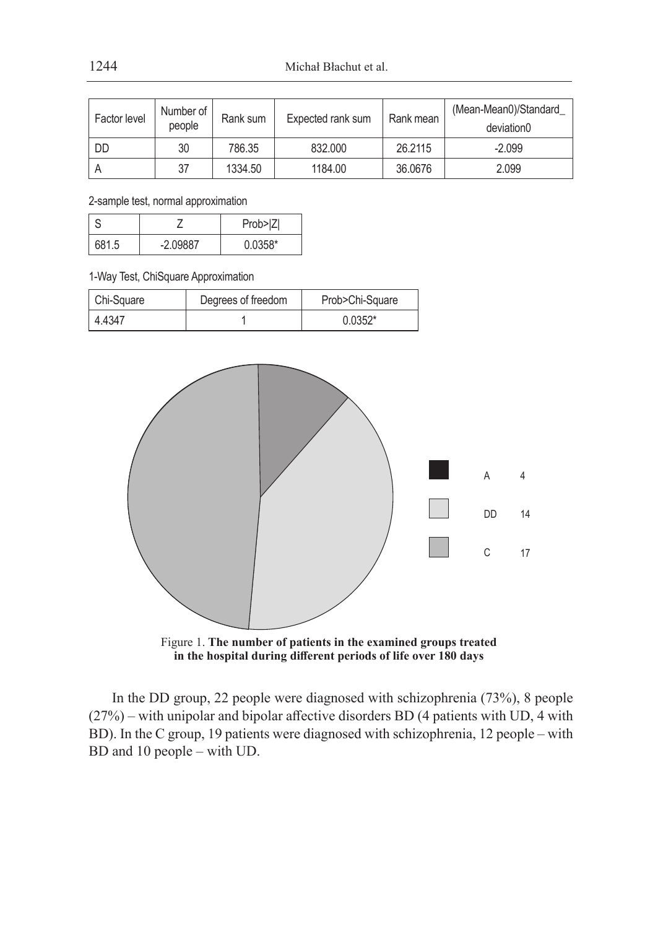| Factor level | Number of<br>people | Rank sum | Expected rank sum | Rank mean | (Mean-Mean0)/Standard<br>deviation0 |
|--------------|---------------------|----------|-------------------|-----------|-------------------------------------|
| DD           | 30                  | 786.35   | 832.000           | 26.2115   | $-2.099$                            |
|              | 37                  | 1334.50  | 1184.00           | 36,0676   | 2.099                               |

2-sample test, normal approximation

|      |           | Prob> Z   |  |
|------|-----------|-----------|--|
| 6815 | $-209887$ | $0.0358*$ |  |

1-Way Test, ChiSquare Approximation

| Chi-Square | Degrees of freedom | Prob>Chi-Square |
|------------|--------------------|-----------------|
| 4.4347     |                    | $0.0352*$       |



Figure 1. **The number of patients in the examined groups treated in the hospital during different periods of life over 180 days**

In the DD group, 22 people were diagnosed with schizophrenia (73%), 8 people (27%) – with unipolar and bipolar affective disorders BD (4 patients with UD, 4 with BD). In the C group, 19 patients were diagnosed with schizophrenia, 12 people – with BD and 10 people – with UD.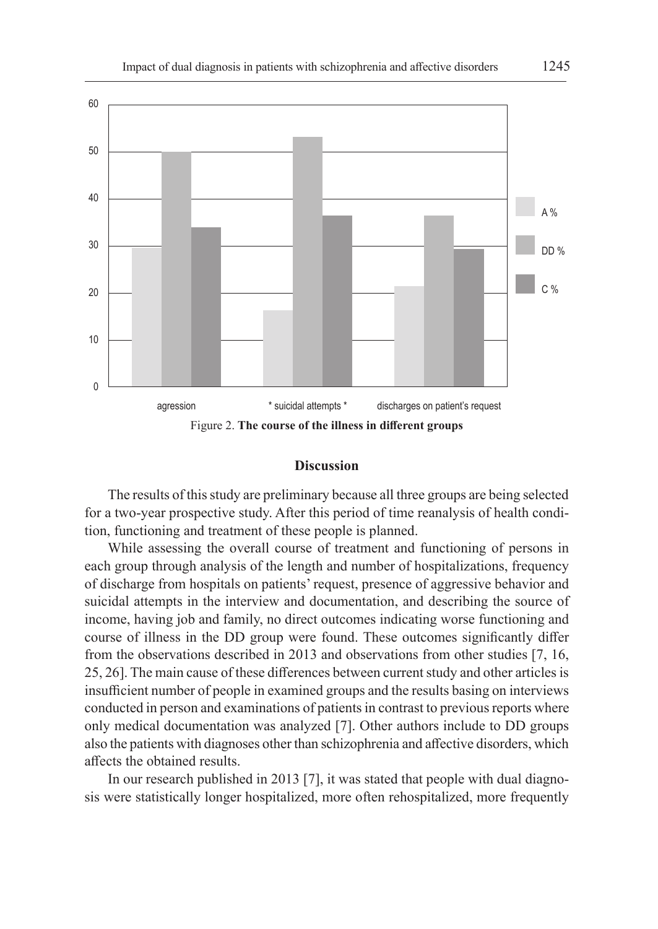

#### **Discussion**

The results of this study are preliminary because all three groups are being selected for a two-year prospective study. After this period of time reanalysis of health condition, functioning and treatment of these people is planned.

While assessing the overall course of treatment and functioning of persons in each group through analysis of the length and number of hospitalizations, frequency of discharge from hospitals on patients' request, presence of aggressive behavior and suicidal attempts in the interview and documentation, and describing the source of income, having job and family, no direct outcomes indicating worse functioning and course of illness in the DD group were found. These outcomes significantly differ from the observations described in 2013 and observations from other studies [7, 16, 25, 26]. The main cause of these differences between current study and other articles is insufficient number of people in examined groups and the results basing on interviews conducted in person and examinations of patients in contrast to previous reports where only medical documentation was analyzed [7]. Other authors include to DD groups also the patients with diagnoses other than schizophrenia and affective disorders, which affects the obtained results.

In our research published in 2013 [7], it was stated that people with dual diagnosis were statistically longer hospitalized, more often rehospitalized, more frequently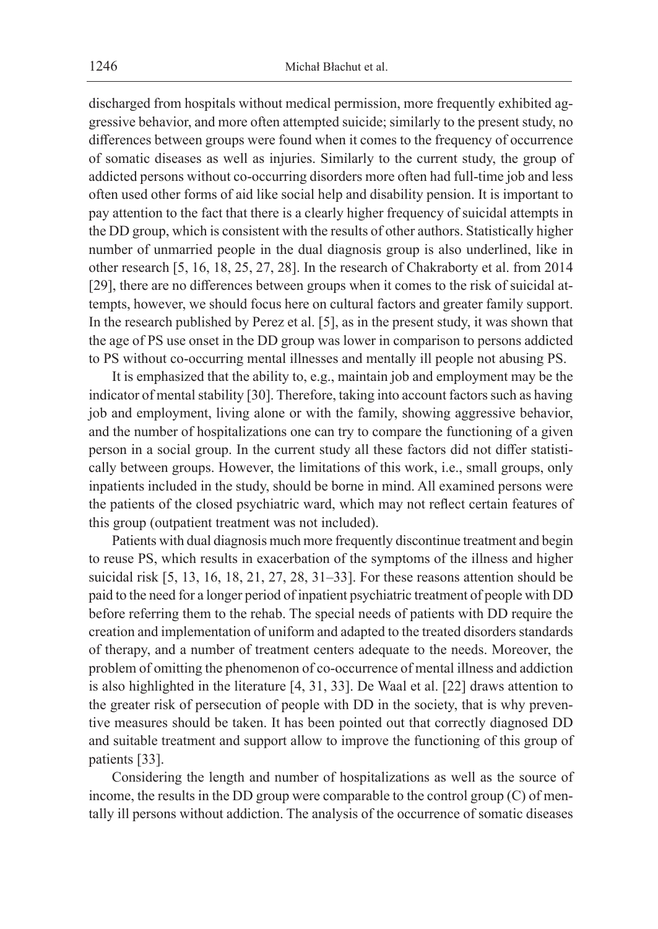discharged from hospitals without medical permission, more frequently exhibited aggressive behavior, and more often attempted suicide; similarly to the present study, no differences between groups were found when it comes to the frequency of occurrence of somatic diseases as well as injuries. Similarly to the current study, the group of addicted persons without co-occurring disorders more often had full-time job and less often used other forms of aid like social help and disability pension. It is important to pay attention to the fact that there is a clearly higher frequency of suicidal attempts in the DD group, which is consistent with the results of other authors. Statistically higher number of unmarried people in the dual diagnosis group is also underlined, like in other research [5, 16, 18, 25, 27, 28]. In the research of Chakraborty et al. from 2014 [29], there are no differences between groups when it comes to the risk of suicidal attempts, however, we should focus here on cultural factors and greater family support. In the research published by Perez et al. [5], as in the present study, it was shown that the age of PS use onset in the DD group was lower in comparison to persons addicted to PS without co-occurring mental illnesses and mentally ill people not abusing PS.

It is emphasized that the ability to, e.g., maintain job and employment may be the indicator of mental stability [30]. Therefore, taking into account factors such as having job and employment, living alone or with the family, showing aggressive behavior, and the number of hospitalizations one can try to compare the functioning of a given person in a social group. In the current study all these factors did not differ statistically between groups. However, the limitations of this work, i.e., small groups, only inpatients included in the study, should be borne in mind. All examined persons were the patients of the closed psychiatric ward, which may not reflect certain features of this group (outpatient treatment was not included).

Patients with dual diagnosis much more frequently discontinue treatment and begin to reuse PS, which results in exacerbation of the symptoms of the illness and higher suicidal risk [5, 13, 16, 18, 21, 27, 28, 31–33]. For these reasons attention should be paid to the need for a longer period of inpatient psychiatric treatment of people with DD before referring them to the rehab. The special needs of patients with DD require the creation and implementation of uniform and adapted to the treated disorders standards of therapy, and a number of treatment centers adequate to the needs. Moreover, the problem of omitting the phenomenon of co-occurrence of mental illness and addiction is also highlighted in the literature [4, 31, 33]. De Waal et al. [22] draws attention to the greater risk of persecution of people with DD in the society, that is why preventive measures should be taken. It has been pointed out that correctly diagnosed DD and suitable treatment and support allow to improve the functioning of this group of patients [33].

Considering the length and number of hospitalizations as well as the source of income, the results in the DD group were comparable to the control group (C) of mentally ill persons without addiction. The analysis of the occurrence of somatic diseases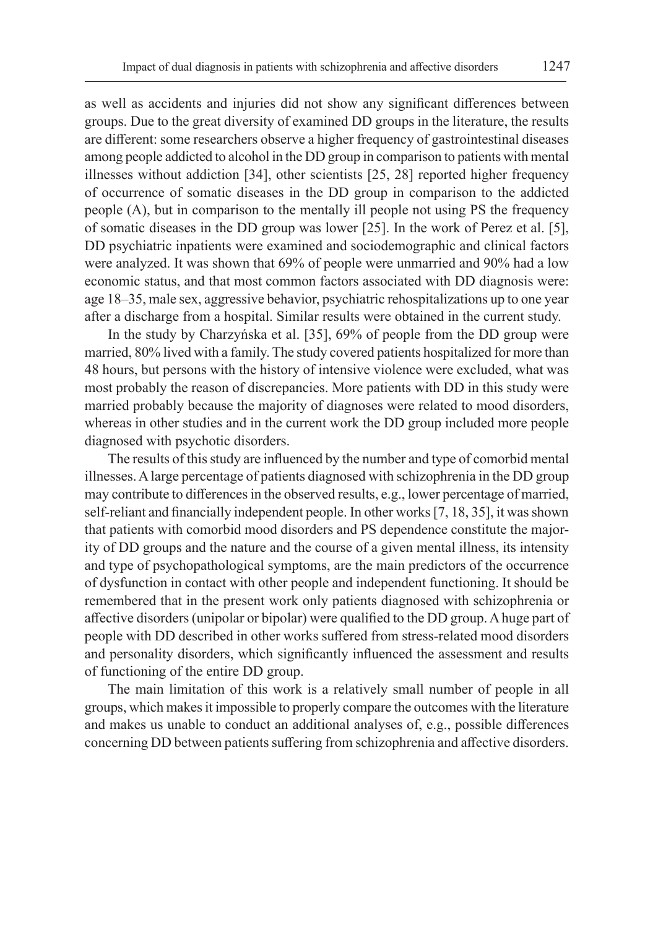as well as accidents and injuries did not show any significant differences between groups. Due to the great diversity of examined DD groups in the literature, the results are different: some researchers observe a higher frequency of gastrointestinal diseases among people addicted to alcohol in the DD group in comparison to patients with mental illnesses without addiction [34], other scientists [25, 28] reported higher frequency of occurrence of somatic diseases in the DD group in comparison to the addicted people (A), but in comparison to the mentally ill people not using PS the frequency of somatic diseases in the DD group was lower [25]. In the work of Perez et al. [5], DD psychiatric inpatients were examined and sociodemographic and clinical factors were analyzed. It was shown that 69% of people were unmarried and 90% had a low economic status, and that most common factors associated with DD diagnosis were: age 18–35, male sex, aggressive behavior, psychiatric rehospitalizations up to one year after a discharge from a hospital. Similar results were obtained in the current study.

In the study by Charzyńska et al. [35], 69% of people from the DD group were married, 80% lived with a family. The study covered patients hospitalized for more than 48 hours, but persons with the history of intensive violence were excluded, what was most probably the reason of discrepancies. More patients with DD in this study were married probably because the majority of diagnoses were related to mood disorders, whereas in other studies and in the current work the DD group included more people diagnosed with psychotic disorders.

The results of this study are influenced by the number and type of comorbid mental illnesses. A large percentage of patients diagnosed with schizophrenia in the DD group may contribute to differences in the observed results, e.g., lower percentage of married, self-reliant and financially independent people. In other works [7, 18, 35], it was shown that patients with comorbid mood disorders and PS dependence constitute the majority of DD groups and the nature and the course of a given mental illness, its intensity and type of psychopathological symptoms, are the main predictors of the occurrence of dysfunction in contact with other people and independent functioning. It should be remembered that in the present work only patients diagnosed with schizophrenia or affective disorders (unipolar or bipolar) were qualified to the DD group. A huge part of people with DD described in other works suffered from stress-related mood disorders and personality disorders, which significantly influenced the assessment and results of functioning of the entire DD group.

The main limitation of this work is a relatively small number of people in all groups, which makes it impossible to properly compare the outcomes with the literature and makes us unable to conduct an additional analyses of, e.g., possible differences concerning DD between patients suffering from schizophrenia and affective disorders.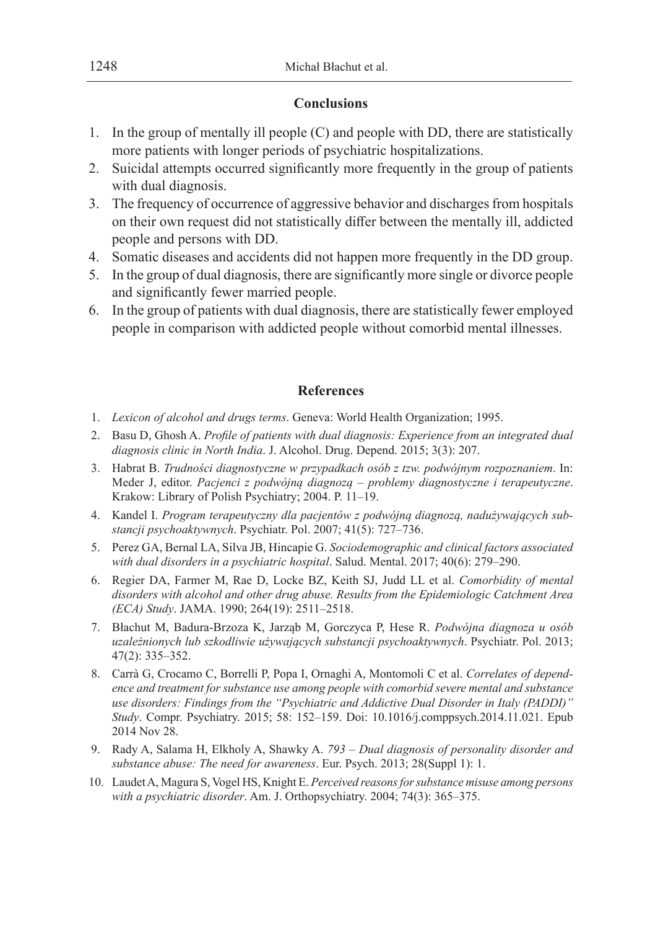## **Conclusions**

- 1. In the group of mentally ill people (C) and people with DD, there are statistically more patients with longer periods of psychiatric hospitalizations.
- 2. Suicidal attempts occurred significantly more frequently in the group of patients with dual diagnosis.
- 3. The frequency of occurrence of aggressive behavior and discharges from hospitals on their own request did not statistically differ between the mentally ill, addicted people and persons with DD.
- 4. Somatic diseases and accidents did not happen more frequently in the DD group.
- 5. In the group of dual diagnosis, there are significantly more single or divorce people and significantly fewer married people.
- 6. In the group of patients with dual diagnosis, there are statistically fewer employed people in comparison with addicted people without comorbid mental illnesses.

## **References**

- 1. *Lexicon of alcohol and drugs terms*. Geneva: World Health Organization; 1995.
- 2. Basu D, Ghosh A. *Profile of patients with dual diagnosis: Experience from an integrated dual diagnosis clinic in North India*. J. Alcohol. Drug. Depend. 2015; 3(3): 207.
- 3. Habrat B. *Trudności diagnostyczne w przypadkach osób z tzw. podwójnym rozpoznaniem*. In: Meder J, editor. *Pacjenci z podwójną diagnozą – problemy diagnostyczne i terapeutyczne*. Krakow: Library of Polish Psychiatry; 2004. P. 11–19.
- 4. Kandel I. *Program terapeutyczny dla pacjentów z podwójną diagnozą, nadużywających substancji psychoaktywnych*. Psychiatr. Pol. 2007; 41(5): 727–736.
- 5. Perez GA, Bernal LA, Silva JB, Hincapie G. *Sociodemographic and clinical factors associated with dual disorders in a psychiatric hospital*. Salud. Mental. 2017; 40(6): 279–290.
- 6. Regier DA, Farmer M, Rae D, Locke BZ, Keith SJ, Judd LL et al. *Comorbidity of mental disorders with alcohol and other drug abuse. Results from the Epidemiologic Catchment Area (ECA) Study*. JAMA. 1990; 264(19): 2511–2518.
- 7. Błachut M, Badura-Brzoza K, Jarząb M, Gorczyca P, Hese R. *Podwójna diagnoza u osób uzależnionych lub szkodliwie używających substancji psychoaktywnych*. Psychiatr. Pol. 2013; 47(2): 335–352.
- 8. Carrà G, Crocamo C, Borrelli P, Popa I, Ornaghi A, Montomoli C et al. *Correlates of dependence and treatment for substance use among people with comorbid severe mental and substance use disorders: Findings from the "Psychiatric and Addictive Dual Disorder in Italy (PADDI)" Study*. Compr. Psychiatry. 2015; 58: 152–159. Doi: 10.1016/j.comppsych.2014.11.021. Epub 2014 Nov 28.
- 9. Rady A, Salama H, Elkholy A, Shawky A. *793 Dual diagnosis of personality disorder and substance abuse: The need for awareness*. Eur. Psych. 2013; 28(Suppl 1): 1.
- 10. Laudet A, Magura S, Vogel HS, Knight E. *Perceived reasons for substance misuse among persons with a psychiatric disorder*. Am. J. Orthopsychiatry. 2004; 74(3): 365–375.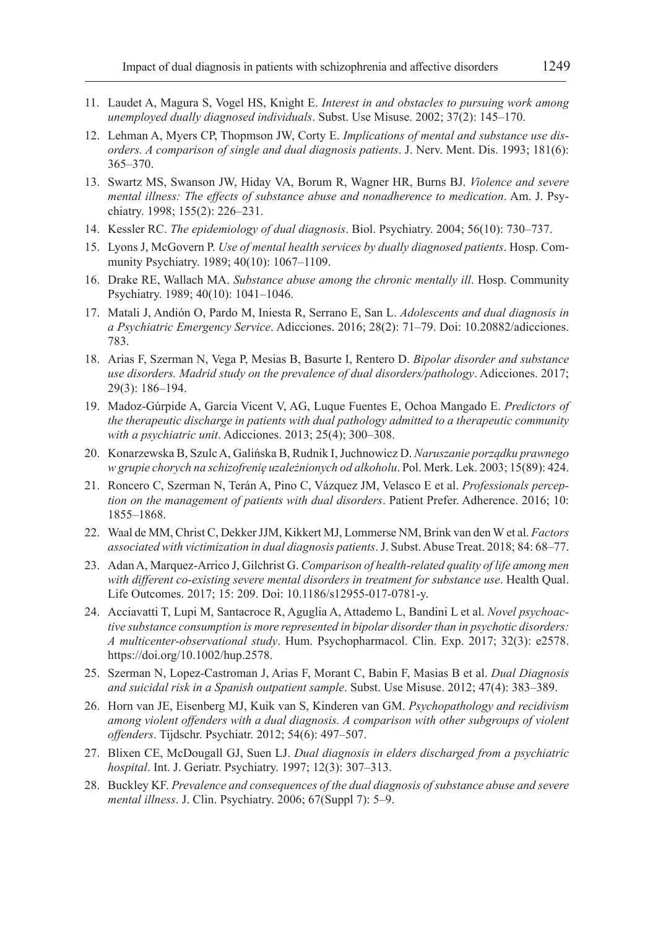- 11. Laudet A, Magura S, Vogel HS, Knight E. *Interest in and obstacles to pursuing work among unemployed dually diagnosed individuals*. Subst. Use Misuse. 2002; 37(2): 145–170.
- 12. Lehman A, Myers CP, Thopmson JW, Corty E. *Implications of mental and substance use disorders. A comparison of single and dual diagnosis patients*. J. Nerv. Ment. Dis. 1993; 181(6): 365–370.
- 13. Swartz MS, Swanson JW, Hiday VA, Borum R, Wagner HR, Burns BJ. *Violence and severe mental illness: The effects of substance abuse and nonadherence to medication*. Am. J. Psychiatry. 1998; 155(2): 226–231.
- 14. Kessler RC. *The epidemiology of dual diagnosis*. Biol. Psychiatry. 2004; 56(10): 730–737.
- 15. Lyons J, McGovern P. *Use of mental health services by dually diagnosed patients*. Hosp. Community Psychiatry. 1989; 40(10): 1067–1109.
- 16. Drake RE, Wallach MA. *Substance abuse among the chronic mentally ill*. Hosp. Community Psychiatry. 1989; 40(10): 1041–1046.
- 17. Matali J, Andión O, Pardo M, Iniesta R, Serrano E, San L. *Adolescents and dual diagnosis in a Psychiatric Emergency Service*. Adicciones. 2016; 28(2): 71–79. Doi: 10.20882/adicciones. 783.
- 18. Arias F, Szerman N, Vega P, Mesias B, Basurte I, Rentero D. *Bipolar disorder and substance use disorders. Madrid study on the prevalence of dual disorders/pathology*. Adicciones. 2017; 29(3): 186–194.
- 19. Madoz-Gúrpide A, García Vicent V, AG, Luque Fuentes E, Ochoa Mangado E. *Predictors of the therapeutic discharge in patients with dual pathology admitted to a therapeutic community with a psychiatric unit*. Adicciones. 2013; 25(4); 300–308.
- 20. Konarzewska B, Szulc A, Galińska B, Rudnik I, Juchnowicz D. *Naruszanie porządku prawnego w grupie chorych na schizofrenię uzależnionych od alkoholu*. Pol. Merk. Lek. 2003; 15(89): 424.
- 21. Roncero C, Szerman N, Terán A, Pino C, Vázquez JM, Velasco E et al. *Professionals perception on the management of patients with dual disorders*. Patient Prefer. Adherence. 2016; 10: 1855–1868.
- 22. Waal de MM, Christ C, Dekker JJM, Kikkert MJ, Lommerse NM, Brink van den W et al. *Factors associated with victimization in dual diagnosis patients*. J. Subst. Abuse Treat. 2018; 84: 68–77.
- 23. Adan A, Marquez-Arrico J, Gilchrist G. *Comparison of health-related quality of life among men with different co-existing severe mental disorders in treatment for substance use*. Health Qual. Life Outcomes. 2017; 15: 209. Doi: 10.1186/s12955-017-0781-y.
- 24. Acciavatti T, Lupi M, Santacroce R, Aguglia A, Attademo L, Bandini L et al. *Novel psychoactive substance consumption is more represented in bipolar disorder than in psychotic disorders: A multicenter-observational study*. Hum. Psychopharmacol. Clin. Exp. 2017; 32(3): e2578. https://doi.org/10.1002/hup.2578.
- 25. Szerman N, Lopez-Castroman J, Arias F, Morant C, Babin F, Masias B et al. *Dual Diagnosis and suicidal risk in a Spanish outpatient sample*. Subst. Use Misuse. 2012; 47(4): 383–389.
- 26. Horn van JE, Eisenberg MJ, Kuik van S, Kinderen van GM. *Psychopathology and recidivism among violent offenders with a dual diagnosis. A comparison with other subgroups of violent offenders*. Tijdschr. Psychiatr. 2012; 54(6): 497–507.
- 27. Blixen CE, McDougall GJ, Suen LJ. *Dual diagnosis in elders discharged from a psychiatric hospital*. Int. J. Geriatr. Psychiatry. 1997; 12(3): 307–313.
- 28. Buckley KF. *Prevalence and consequences of the dual diagnosis of substance abuse and severe mental illness*. J. Clin. Psychiatry. 2006; 67(Suppl 7): 5–9.